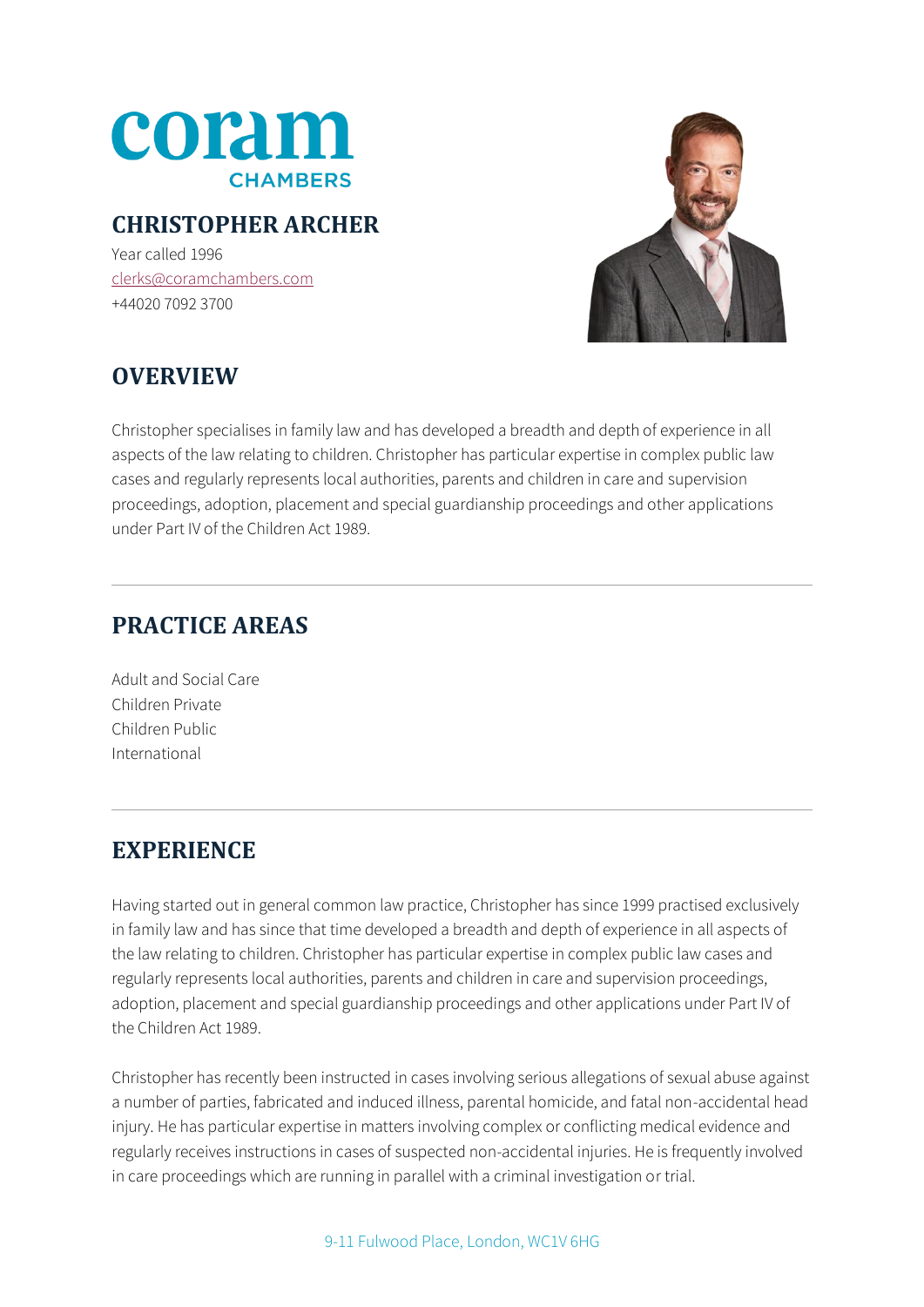

### **CHRISTOPHER ARCHER**

Year called 1996 [clerks@coramchambers.com](mailto:clerks@coramchambers.com) +44020 7092 3700



# **OVERVIEW**

Christopher specialises in family law and has developed a breadth and depth of experience in all aspects of the law relating to children. Christopher has particular expertise in complex public law cases and regularly represents local authorities, parents and children in care and supervision proceedings, adoption, placement and special guardianship proceedings and other applications under Part IV of the Children Act 1989.

### **PRACTICE AREAS**

Adult and Social Care Children Private Children Public International

# **EXPERIENCE**

Having started out in general common law practice, Christopher has since 1999 practised exclusively in family law and has since that time developed a breadth and depth of experience in all aspects of the law relating to children. Christopher has particular expertise in complex public law cases and regularly represents local authorities, parents and children in care and supervision proceedings, adoption, placement and special guardianship proceedings and other applications under Part IV of the Children Act 1989.

Christopher has recently been instructed in cases involving serious allegations of sexual abuse against a number of parties, fabricated and induced illness, parental homicide, and fatal non-accidental head injury. He has particular expertise in matters involving complex or conflicting medical evidence and regularly receives instructions in cases of suspected non-accidental injuries. He is frequently involved in care proceedings which are running in parallel with a criminal investigation or trial.